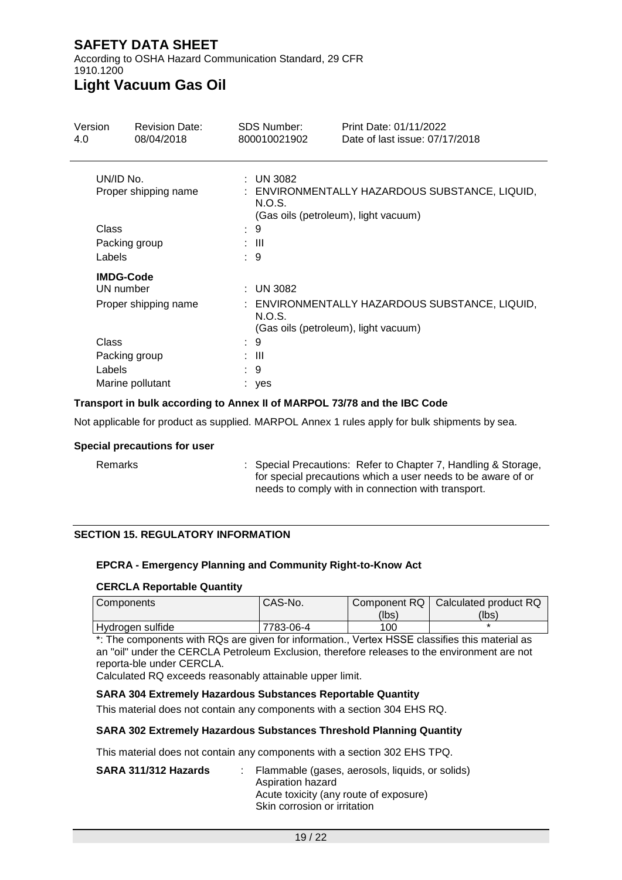According to OSHA Hazard Communication Standard, 29 CFR 1910.1200

# **Light Vacuum Gas Oil**

| Version                           | <b>Revision Date:</b> | <b>SDS Number:</b><br>95₿ | Print Date: 4/01/2022<br>Date of last issue: 4/01/2022 |
|-----------------------------------|-----------------------|---------------------------|--------------------------------------------------------|
| UN/ID No.<br>Proper shipping name |                       | UN 3082<br>÷              | ENVIRONMENTALLY HAZARDOUS SUBSTANCE, LIQUID,           |
|                                   |                       | N.O.S.                    | (Gas oils (petroleum), light vacuum)                   |
| <b>Class</b>                      |                       | 9                         |                                                        |
|                                   | Packing group         | : III                     |                                                        |
| Labels                            |                       | -9<br>÷.                  |                                                        |
|                                   | <b>IMDG-Code</b>      |                           |                                                        |
| UN number                         |                       | UN 3082<br>÷              |                                                        |
| Proper shipping name              |                       | N.O.S.                    | ENVIRONMENTALLY HAZARDOUS SUBSTANCE, LIQUID,           |
|                                   |                       |                           | (Gas oils (petroleum), light vacuum)                   |
| Class                             |                       | 9                         |                                                        |
|                                   | Packing group         | : III                     |                                                        |
| Labels                            |                       | 9                         |                                                        |
| Marine pollutant                  |                       | yes                       |                                                        |

#### **Transport in bulk according to Annex II of MARPOL 73/78 and the IBC Code**

Not applicable for product as supplied. MARPOL Annex 1 rules apply for bulk shipments by sea.

#### **Special precautions for user**

| Remarks | : Special Precautions: Refer to Chapter 7, Handling & Storage,<br>for special precautions which a user needs to be aware of or |
|---------|--------------------------------------------------------------------------------------------------------------------------------|
|         | needs to comply with in connection with transport.                                                                             |

#### **SECTION 15. REGULATORY INFORMATION**

#### **EPCRA - Emergency Planning and Community Right-to-Know Act**

#### **CERCLA Reportable Quantity**

| I Components     | CAS-No.   |       | Component RQ   Calculated product RQ |
|------------------|-----------|-------|--------------------------------------|
|                  |           | (lbs) | (lbs)                                |
| Hydrogen sulfide | 7783-06-4 | 100   |                                      |

\*: The components with RQs are given for information., Vertex HSSE classifies this material as an "oil" under the CERCLA Petroleum Exclusion, therefore releases to the environment are not reporta-ble under CERCLA.

Calculated RQ exceeds reasonably attainable upper limit.

#### **SARA 304 Extremely Hazardous Substances Reportable Quantity**

This material does not contain any components with a section 304 EHS RQ.

#### **SARA 302 Extremely Hazardous Substances Threshold Planning Quantity**

This material does not contain any components with a section 302 EHS TPQ.

| SARA 311/312 Hazards | : Flammable (gases, aerosols, liquids, or solids)<br>Aspiration hazard<br>Acute toxicity (any route of exposure)<br>Skin corrosion or irritation |
|----------------------|--------------------------------------------------------------------------------------------------------------------------------------------------|
|                      |                                                                                                                                                  |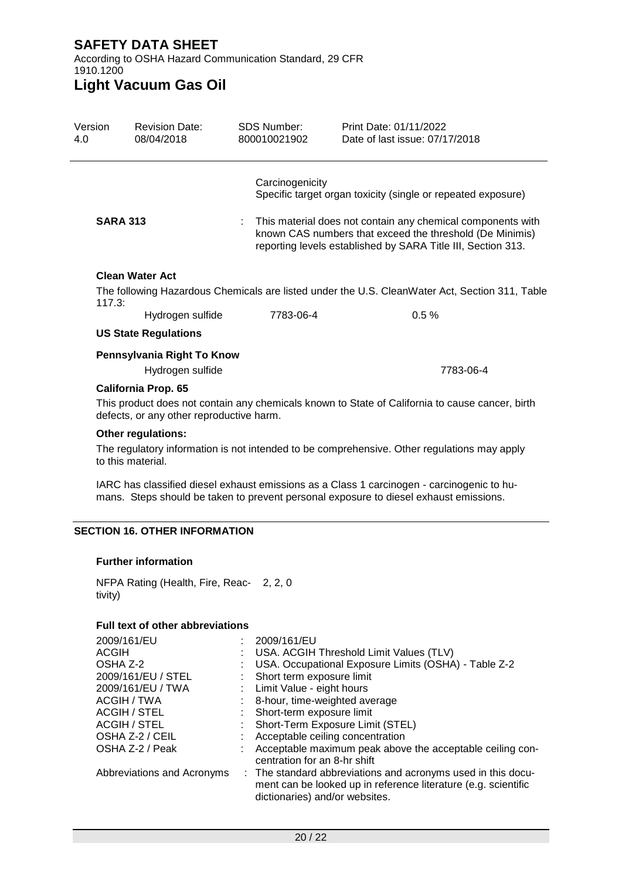According to OSHA Hazard Communication Standard, 29 CFR 1910.1200

**Light Vacuum Gas Oil**

| Version<br>1.0                                                                                                                                                                      | <b>Revision Date:</b><br>4/01/2022       | <b>SDS Number:</b><br>VRAM00011 | Print Date: 4/01/2022<br>Date of last issue: 4/01/2022                                                                                                                                  |  |  |
|-------------------------------------------------------------------------------------------------------------------------------------------------------------------------------------|------------------------------------------|---------------------------------|-----------------------------------------------------------------------------------------------------------------------------------------------------------------------------------------|--|--|
|                                                                                                                                                                                     |                                          | Carcinogenicity                 | Specific target organ toxicity (single or repeated exposure)                                                                                                                            |  |  |
| <b>SARA 313</b>                                                                                                                                                                     |                                          |                                 | This material does not contain any chemical components with<br>known CAS numbers that exceed the threshold (De Minimis)<br>reporting levels established by SARA Title III, Section 313. |  |  |
|                                                                                                                                                                                     | <b>Clean Water Act</b>                   |                                 |                                                                                                                                                                                         |  |  |
| 117.3:                                                                                                                                                                              |                                          |                                 | The following Hazardous Chemicals are listed under the U.S. CleanWater Act, Section 311, Table                                                                                          |  |  |
|                                                                                                                                                                                     | Hydrogen sulfide                         | 7783-06-4                       | 0.5%                                                                                                                                                                                    |  |  |
|                                                                                                                                                                                     | <b>US State Regulations</b>              |                                 |                                                                                                                                                                                         |  |  |
|                                                                                                                                                                                     | Pennsylvania Right To Know               |                                 |                                                                                                                                                                                         |  |  |
|                                                                                                                                                                                     | Hydrogen sulfide                         |                                 | 7783-06-4                                                                                                                                                                               |  |  |
|                                                                                                                                                                                     | <b>California Prop. 65</b>               |                                 |                                                                                                                                                                                         |  |  |
| This product does not contain any chemicals known to State of California to cause cancer, birth<br>defects, or any other reproductive harm.                                         |                                          |                                 |                                                                                                                                                                                         |  |  |
|                                                                                                                                                                                     | <b>Other regulations:</b>                |                                 |                                                                                                                                                                                         |  |  |
| The regulatory information is not intended to be comprehensive. Other regulations may apply<br>to this material.                                                                    |                                          |                                 |                                                                                                                                                                                         |  |  |
| IARC has classified diesel exhaust emissions as a Class 1 carcinogen - carcinogenic to hu-<br>mans. Steps should be taken to prevent personal exposure to diesel exhaust emissions. |                                          |                                 |                                                                                                                                                                                         |  |  |
| <b>SECTION 16. OTHER INFORMATION</b>                                                                                                                                                |                                          |                                 |                                                                                                                                                                                         |  |  |
|                                                                                                                                                                                     | <b>Further information</b>               |                                 |                                                                                                                                                                                         |  |  |
| tivity)                                                                                                                                                                             | NFPA Rating (Health, Fire, Reac- 2, 2, 0 |                                 |                                                                                                                                                                                         |  |  |
|                                                                                                                                                                                     | <b>Full text of other abbreviations</b>  |                                 |                                                                                                                                                                                         |  |  |
| 2009/161/EU                                                                                                                                                                         |                                          | 2009/161/EU<br>÷.               |                                                                                                                                                                                         |  |  |

| 2009/161/EU                | 2009/161/EU                                                                                                                                                      |
|----------------------------|------------------------------------------------------------------------------------------------------------------------------------------------------------------|
| ACGIH                      | : USA. ACGIH Threshold Limit Values (TLV)                                                                                                                        |
| OSHA Z-2                   | USA. Occupational Exposure Limits (OSHA) - Table Z-2                                                                                                             |
| 2009/161/EU / STEL         | Short term exposure limit                                                                                                                                        |
| 2009/161/EU / TWA          | : Limit Value - eight hours                                                                                                                                      |
| ACGIH / TWA                | 8-hour, time-weighted average                                                                                                                                    |
| ACGIH / STEL               | Short-term exposure limit                                                                                                                                        |
| ACGIH / STEL               | Short-Term Exposure Limit (STEL)                                                                                                                                 |
| OSHA Z-2 / CEIL            | Acceptable ceiling concentration                                                                                                                                 |
| OSHA Z-2 / Peak            | Acceptable maximum peak above the acceptable ceiling con-<br>centration for an 8-hr shift                                                                        |
| Abbreviations and Acronyms | : The standard abbreviations and acronyms used in this docu-<br>ment can be looked up in reference literature (e.g. scientific<br>dictionaries) and/or websites. |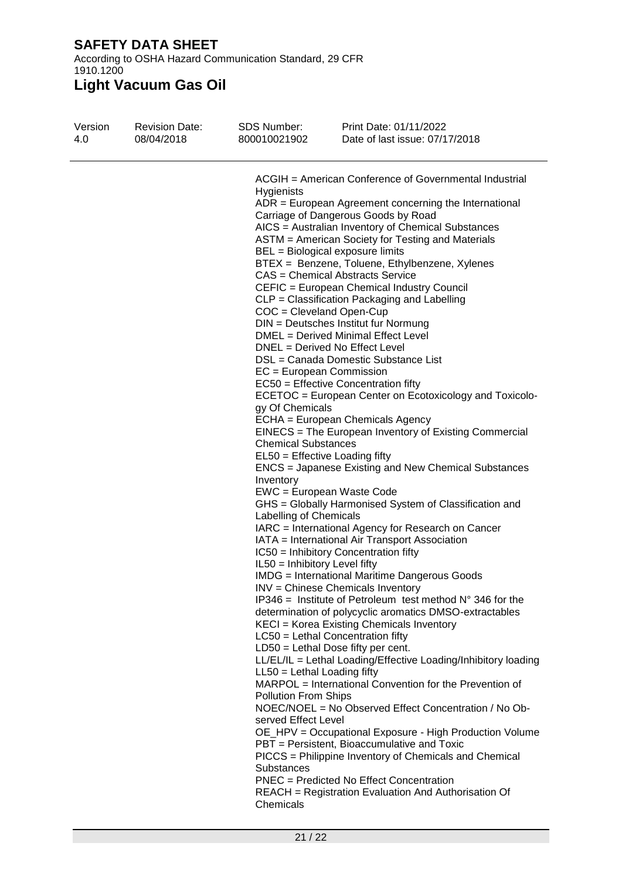According to OSHA Hazard Communication Standard, 29 CFR 1910.1200

**Light Vacuum Gas Oil**

| Version<br>1.0 | <b>Revision Date:</b><br>4/01/2022 | <b>SDS Number:</b><br><b>VRAM00011</b> | Print Date: 4/01/2022<br>Date of last issue: 4/01/2022                                                                          |
|----------------|------------------------------------|----------------------------------------|---------------------------------------------------------------------------------------------------------------------------------|
|                |                                    |                                        |                                                                                                                                 |
|                |                                    |                                        | ACGIH = American Conference of Governmental Industrial                                                                          |
|                |                                    | Hygienists                             |                                                                                                                                 |
|                |                                    |                                        | $ADR = European Agreement concerning the International$<br>Carriage of Dangerous Goods by Road                                  |
|                |                                    |                                        | AICS = Australian Inventory of Chemical Substances                                                                              |
|                |                                    |                                        | ASTM = American Society for Testing and Materials                                                                               |
|                |                                    |                                        | BEL = Biological exposure limits                                                                                                |
|                |                                    |                                        | BTEX = Benzene, Toluene, Ethylbenzene, Xylenes                                                                                  |
|                |                                    |                                        | CAS = Chemical Abstracts Service                                                                                                |
|                |                                    |                                        | CEFIC = European Chemical Industry Council                                                                                      |
|                |                                    |                                        | CLP = Classification Packaging and Labelling                                                                                    |
|                |                                    | COC = Cleveland Open-Cup               | DIN = Deutsches Institut fur Normung                                                                                            |
|                |                                    |                                        | DMEL = Derived Minimal Effect Level                                                                                             |
|                |                                    |                                        | DNEL = Derived No Effect Level                                                                                                  |
|                |                                    |                                        | DSL = Canada Domestic Substance List                                                                                            |
|                |                                    | $EC = European Commission$             |                                                                                                                                 |
|                |                                    |                                        | EC50 = Effective Concentration fifty                                                                                            |
|                |                                    |                                        | ECETOC = European Center on Ecotoxicology and Toxicolo-                                                                         |
|                |                                    | gy Of Chemicals                        | ECHA = European Chemicals Agency                                                                                                |
|                |                                    |                                        | EINECS = The European Inventory of Existing Commercial                                                                          |
|                |                                    | <b>Chemical Substances</b>             |                                                                                                                                 |
|                |                                    |                                        | $EL50 = E$ ffective Loading fifty                                                                                               |
|                |                                    |                                        | ENCS = Japanese Existing and New Chemical Substances                                                                            |
|                |                                    | Inventory                              |                                                                                                                                 |
|                |                                    |                                        | EWC = European Waste Code                                                                                                       |
|                |                                    | Labelling of Chemicals                 | GHS = Globally Harmonised System of Classification and                                                                          |
|                |                                    |                                        | IARC = International Agency for Research on Cancer                                                                              |
|                |                                    |                                        | IATA = International Air Transport Association                                                                                  |
|                |                                    |                                        | IC50 = Inhibitory Concentration fifty                                                                                           |
|                |                                    | IL50 = Inhibitory Level fifty          |                                                                                                                                 |
|                |                                    |                                        | <b>IMDG</b> = International Maritime Dangerous Goods                                                                            |
|                |                                    |                                        | <b>INV</b> = Chinese Chemicals Inventory                                                                                        |
|                |                                    |                                        | $IP346$ = Institute of Petroleum test method $N^{\circ}$ 346 for the<br>determination of polycyclic aromatics DMSO-extractables |
|                |                                    |                                        | KECI = Korea Existing Chemicals Inventory                                                                                       |
|                |                                    |                                        | $LC50$ = Lethal Concentration fifty                                                                                             |
|                |                                    |                                        | $LD50 = Lethal Does fifty per cent.$                                                                                            |
|                |                                    |                                        | LL/EL/IL = Lethal Loading/Effective Loading/Inhibitory loading                                                                  |
|                |                                    | $LL50 = Lethal$ Loading fifty          |                                                                                                                                 |
|                |                                    |                                        | MARPOL = International Convention for the Prevention of                                                                         |
|                |                                    | Pollution From Ships                   | NOEC/NOEL = No Observed Effect Concentration / No Ob-                                                                           |
|                |                                    | served Effect Level                    |                                                                                                                                 |
|                |                                    |                                        | OE_HPV = Occupational Exposure - High Production Volume                                                                         |
|                |                                    |                                        | PBT = Persistent, Bioaccumulative and Toxic                                                                                     |
|                |                                    |                                        | PICCS = Philippine Inventory of Chemicals and Chemical                                                                          |
|                |                                    | Substances                             |                                                                                                                                 |
|                |                                    |                                        | <b>PNEC</b> = Predicted No Effect Concentration                                                                                 |
|                |                                    |                                        | REACH = Registration Evaluation And Authorisation Of                                                                            |
|                |                                    | Chemicals                              |                                                                                                                                 |